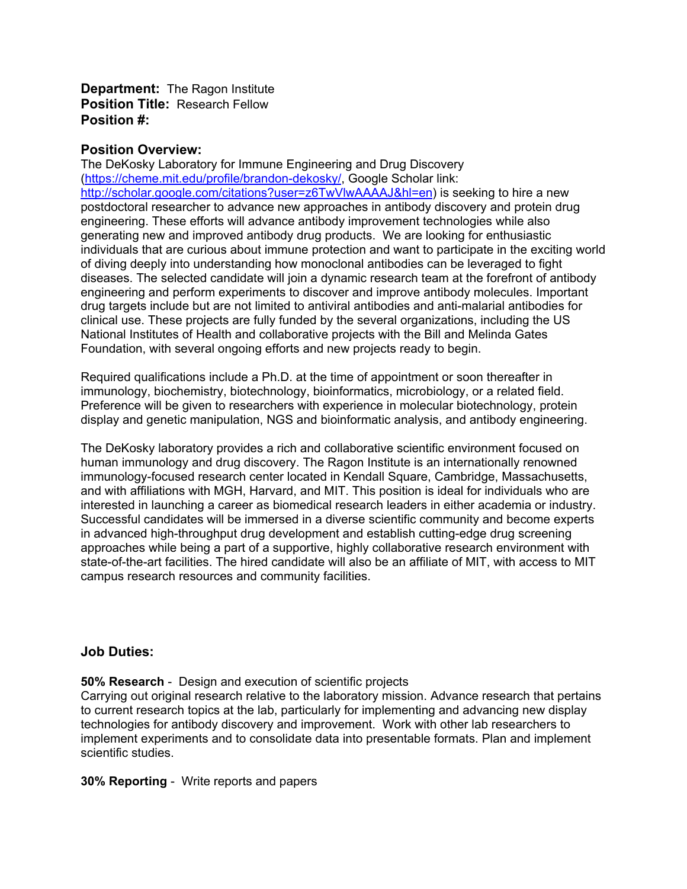**Department:** The Ragon Institute **Position Title:** Research Fellow **Position #:**

#### **Position Overview:**

The DeKosky Laboratory for Immune Engineering and Drug Discovery [\(https://cheme.mit.edu/profile/brandon-dekosky/,](https://cheme.mit.edu/profile/brandon-dekosky/) Google Scholar link: [http://scholar.google.com/citations?user=z6TwVlwAAAAJ&hl=en\)](http://scholar.google.com/citations?user=z6TwVlwAAAAJ&hl=en) is seeking to hire a new postdoctoral researcher to advance new approaches in antibody discovery and protein drug engineering. These efforts will advance antibody improvement technologies while also generating new and improved antibody drug products. We are looking for enthusiastic individuals that are curious about immune protection and want to participate in the exciting world of diving deeply into understanding how monoclonal antibodies can be leveraged to fight diseases. The selected candidate will join a dynamic research team at the forefront of antibody engineering and perform experiments to discover and improve antibody molecules. Important drug targets include but are not limited to antiviral antibodies and anti-malarial antibodies for clinical use. These projects are fully funded by the several organizations, including the US National Institutes of Health and collaborative projects with the Bill and Melinda Gates Foundation, with several ongoing efforts and new projects ready to begin.

Required qualifications include a Ph.D. at the time of appointment or soon thereafter in immunology, biochemistry, biotechnology, bioinformatics, microbiology, or a related field. Preference will be given to researchers with experience in molecular biotechnology, protein display and genetic manipulation, NGS and bioinformatic analysis, and antibody engineering.

The DeKosky laboratory provides a rich and collaborative scientific environment focused on human immunology and drug discovery. The Ragon Institute is an internationally renowned immunology-focused research center located in Kendall Square, Cambridge, Massachusetts, and with affiliations with MGH, Harvard, and MIT. This position is ideal for individuals who are interested in launching a career as biomedical research leaders in either academia or industry. Successful candidates will be immersed in a diverse scientific community and become experts in advanced high-throughput drug development and establish cutting-edge drug screening approaches while being a part of a supportive, highly collaborative research environment with state-of-the-art facilities. The hired candidate will also be an affiliate of MIT, with access to MIT campus research resources and community facilities.

### **Job Duties:**

**50% Research** - Design and execution of scientific projects

Carrying out original research relative to the laboratory mission. Advance research that pertains to current research topics at the lab, particularly for implementing and advancing new display technologies for antibody discovery and improvement. Work with other lab researchers to implement experiments and to consolidate data into presentable formats. Plan and implement scientific studies.

**30% Reporting** - Write reports and papers